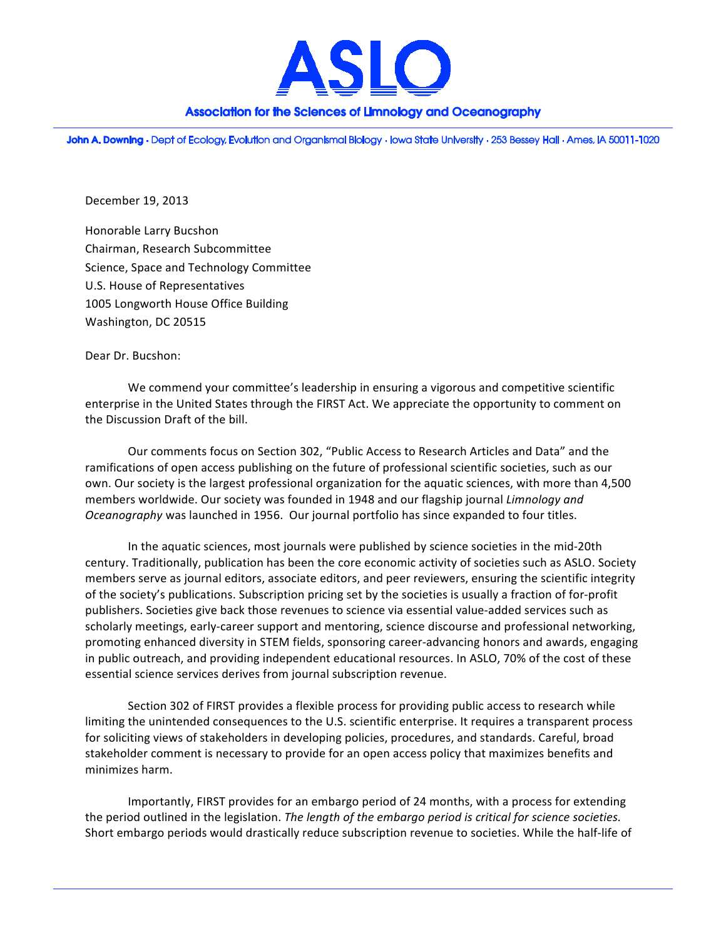

## Association for the Sciences of Limnology and Oceanography

John A. Downing · Dept of Ecology, Evolution and Organismal Biology · Iowa State University · 253 Bessey Hall · Ames, IA 50011-1020

December 19, 2013

Honorable Larry Bucshon Chairman, Research Subcommittee Science, Space and Technology Committee U.S. House of Representatives 1005 Longworth House Office Building Washington, DC 20515

Dear Dr. Bucshon:

We commend your committee's leadership in ensuring a vigorous and competitive scientific enterprise in the United States through the FIRST Act. We appreciate the opportunity to comment on the Discussion Draft of the bill.

Our comments focus on Section 302, "Public Access to Research Articles and Data" and the ramifications of open access publishing on the future of professional scientific societies, such as our own. Our society is the largest professional organization for the aquatic sciences, with more than 4,500 members worldwide. Our society was founded in 1948 and our flagship journal *Limnology and Oceanography* was launched in 1956. Our journal portfolio has since expanded to four titles.

In the aquatic sciences, most journals were published by science societies in the mid-20th century. Traditionally, publication has been the core economic activity of societies such as ASLO. Society members serve as journal editors, associate editors, and peer reviewers, ensuring the scientific integrity of the society's publications. Subscription pricing set by the societies is usually a fraction of for-profit publishers. Societies give back those revenues to science via essential value-added services such as scholarly meetings, early-career support and mentoring, science discourse and professional networking, promoting enhanced diversity in STEM fields, sponsoring career-advancing honors and awards, engaging in public outreach, and providing independent educational resources. In ASLO, 70% of the cost of these essential science services derives from journal subscription revenue.

Section 302 of FIRST provides a flexible process for providing public access to research while limiting the unintended consequences to the U.S. scientific enterprise. It requires a transparent process for soliciting views of stakeholders in developing policies, procedures, and standards. Careful, broad stakeholder comment is necessary to provide for an open access policy that maximizes benefits and minimizes harm.

Importantly, FIRST provides for an embargo period of 24 months, with a process for extending the period outlined in the legislation. The length of the embargo period is critical for science societies. Short embargo periods would drastically reduce subscription revenue to societies. While the half-life of